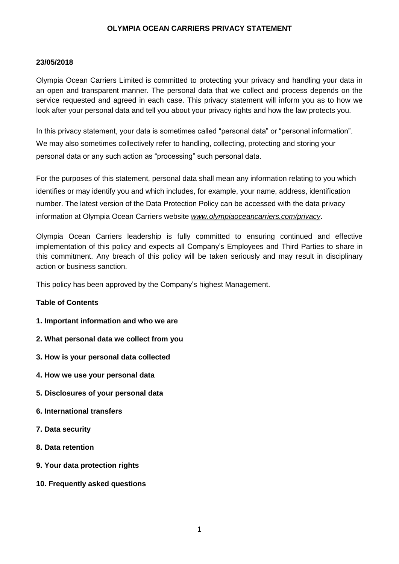#### **23/05/2018**

Olympia Ocean Carriers Limited is committed to protecting your privacy and handling your data in an open and transparent manner. The personal data that we collect and process depends on the service requested and agreed in each case. This privacy statement will inform you as to how we look after your personal data and tell you about your privacy rights and how the law protects you.

In this privacy statement, your data is sometimes called "personal data" or "personal information". We may also sometimes collectively refer to handling, collecting, protecting and storing your personal data or any such action as "processing" such personal data.

For the purposes of this statement, personal data shall mean any information relating to you which identifies or may identify you and which includes, for example, your name, address, identification number. The latest version of the Data Protection Policy can be accessed with the data privacy information at Olympia Ocean Carriers website *<www.olympiaoceancarriers.com/privacy>*.

Olympia Ocean Carriers leadership is fully committed to ensuring continued and effective implementation of this policy and expects all Company's Employees and Third Parties to share in this commitment. Any breach of this policy will be taken seriously and may result in disciplinary action or business sanction.

This policy has been approved by the Company's highest Management.

#### **Table of Contents**

- **1. Important information and who we are**
- **2. What personal data we collect from you**
- **3. How is your personal data collected**
- **4. How we use your personal data**
- **5. Disclosures of your personal data**
- **6. International transfers**
- **7. Data security**
- **8. Data retention**
- **9. Your data protection rights**
- **10. Frequently asked questions**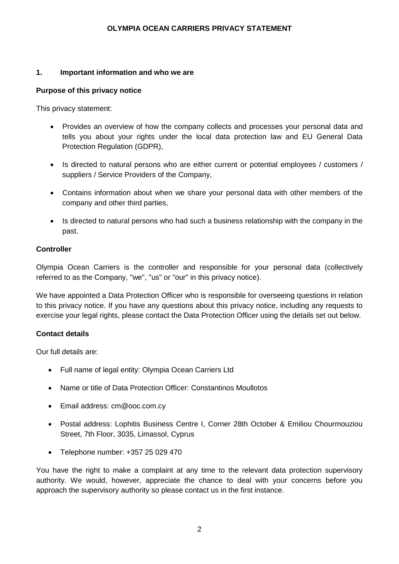#### **1. Important information and who we are**

#### **Purpose of this privacy notice**

This privacy statement:

- Provides an overview of how the company collects and processes your personal data and tells you about your rights under the local data protection law and EU General Data Protection Regulation (GDPR),
- Is directed to natural persons who are either current or potential employees / customers / suppliers / Service Providers of the Company,
- Contains information about when we share your personal data with other members of the company and other third parties,
- Is directed to natural persons who had such a business relationship with the company in the past.

## **Controller**

Olympia Ocean Carriers is the controller and responsible for your personal data (collectively referred to as the Company, "we", "us" or "our" in this privacy notice).

We have appointed a Data Protection Officer who is responsible for overseeing questions in relation to this privacy notice. If you have any questions about this privacy notice, including any requests to exercise your legal rights, please contact the Data Protection Officer using the details set out below.

## **Contact details**

Our full details are:

- Full name of legal entity: Olympia Ocean Carriers Ltd
- Name or title of Data Protection Officer: Constantinos Moullotos
- Email address: cm@ooc.com.cy
- Postal address: Lophitis Business Centre I, Corner 28th October & Emiliou Chourmouziou Street, 7th Floor, 3035, Limassol, Cyprus
- Telephone number: +357 25 029 470

You have the right to make a complaint at any time to the relevant data protection supervisory authority. We would, however, appreciate the chance to deal with your concerns before you approach the supervisory authority so please contact us in the first instance.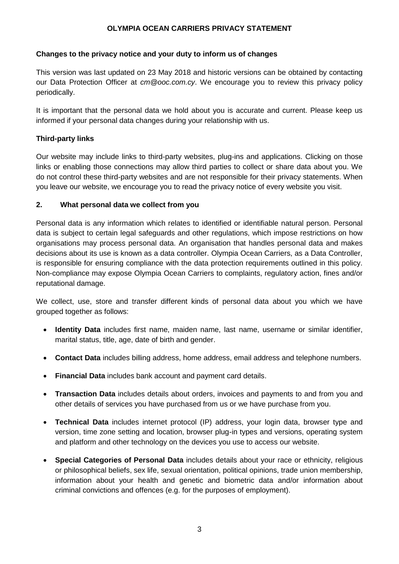## **Changes to the privacy notice and your duty to inform us of changes**

This version was last updated on 23 May 2018 and historic versions can be obtained by contacting our Data Protection Officer at *[cm@ooc.com.cy](mailto:cm@ooc.com.cy)*. We encourage you to review this privacy policy periodically.

It is important that the personal data we hold about you is accurate and current. Please keep us informed if your personal data changes during your relationship with us.

## **Third-party links**

Our website may include links to third-party websites, plug-ins and applications. Clicking on those links or enabling those connections may allow third parties to collect or share data about you. We do not control these third-party websites and are not responsible for their privacy statements. When you leave our website, we encourage you to read the privacy notice of every website you visit.

## **2. What personal data we collect from you**

Personal data is any information which relates to identified or identifiable natural person. Personal data is subject to certain legal safeguards and other regulations, which impose restrictions on how organisations may process personal data. An organisation that handles personal data and makes decisions about its use is known as a data controller. Olympia Ocean Carriers, as a Data Controller, is responsible for ensuring compliance with the data protection requirements outlined in this policy. Non-compliance may expose Olympia Ocean Carriers to complaints, regulatory action, fines and/or reputational damage.

We collect, use, store and transfer different kinds of personal data about you which we have grouped together as follows:

- **Identity Data** includes first name, maiden name, last name, username or similar identifier, marital status, title, age, date of birth and gender.
- **Contact Data** includes billing address, home address, email address and telephone numbers.
- **Financial Data** includes bank account and payment card details.
- **Transaction Data** includes details about orders, invoices and payments to and from you and other details of services you have purchased from us or we have purchase from you.
- **Technical Data** includes internet protocol (IP) address, your login data, browser type and version, time zone setting and location, browser plug-in types and versions, operating system and platform and other technology on the devices you use to access our website.
- **Special Categories of Personal Data** includes details about your race or ethnicity, religious or philosophical beliefs, sex life, sexual orientation, political opinions, trade union membership, information about your health and genetic and biometric data and/or information about criminal convictions and offences (e.g. for the purposes of employment).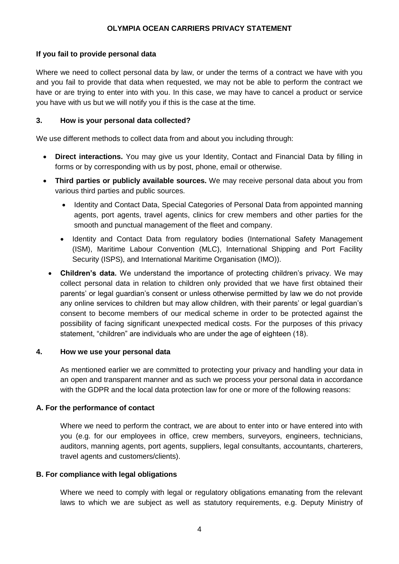## **If you fail to provide personal data**

Where we need to collect personal data by law, or under the terms of a contract we have with you and you fail to provide that data when requested, we may not be able to perform the contract we have or are trying to enter into with you. In this case, we may have to cancel a product or service you have with us but we will notify you if this is the case at the time.

### **3. How is your personal data collected?**

We use different methods to collect data from and about you including through:

- **Direct interactions.** You may give us your Identity, Contact and Financial Data by filling in forms or by corresponding with us by post, phone, email or otherwise.
- **Third parties or publicly available sources.** We may receive personal data about you from various third parties and public sources.
	- Identity and Contact Data, Special Categories of Personal Data from appointed manning agents, port agents, travel agents, clinics for crew members and other parties for the smooth and punctual management of the fleet and company.
	- Identity and Contact Data from regulatory bodies (International Safety Management (ISM), Maritime Labour Convention (MLC), International Shipping and Port Facility Security (ISPS), and International Maritime Organisation (IMO)).
	- **Children's data.** We understand the importance of protecting children's privacy. We may collect personal data in relation to children only provided that we have first obtained their parents' or legal guardian's consent or unless otherwise permitted by law we do not provide any online services to children but may allow children, with their parents' or legal guardian's consent to become members of our medical scheme in order to be protected against the possibility of facing significant unexpected medical costs. For the purposes of this privacy statement, "children" are individuals who are under the age of eighteen (18).

#### **4. How we use your personal data**

As mentioned earlier we are committed to protecting your privacy and handling your data in an open and transparent manner and as such we process your personal data in accordance with the GDPR and the local data protection law for one or more of the following reasons:

## **A. For the performance of contact**

Where we need to perform the contract, we are about to enter into or have entered into with you (e.g. for our employees in office, crew members, surveyors, engineers, technicians, auditors, manning agents, port agents, suppliers, legal consultants, accountants, charterers, travel agents and customers/clients).

#### **B. For compliance with legal obligations**

Where we need to comply with legal or regulatory obligations emanating from the relevant laws to which we are subject as well as statutory requirements, e.g. Deputy Ministry of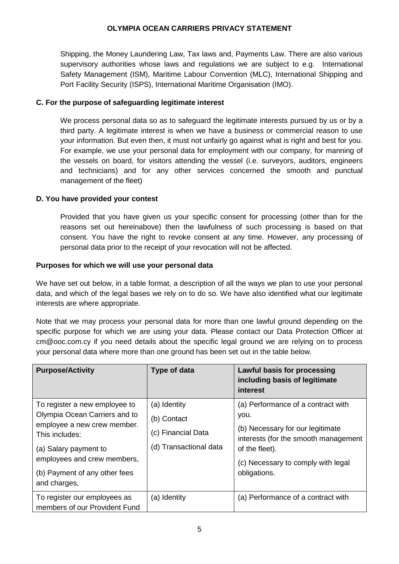Shipping, the Money Laundering Law, Tax laws and, Payments Law. There are also various supervisory authorities whose laws and regulations we are subject to e.g. International Safety Management (ISM), Maritime Labour Convention (MLC), International Shipping and Port Facility Security (ISPS), International Maritime Organisation (IMO).

## **C. For the purpose of safeguarding legitimate interest**

We process personal data so as to safeguard the legitimate interests pursued by us or by a third party. A legitimate interest is when we have a business or commercial reason to use your information. But even then, it must not unfairly go against what is right and best for you. For example, we use your personal data for employment with our company, for manning of the vessels on board, for visitors attending the vessel (i.e. surveyors, auditors, engineers and technicians) and for any other services concerned the smooth and punctual management of the fleet)

## **D. You have provided your contest**

Provided that you have given us your specific consent for processing (other than for the reasons set out hereinabove) then the lawfulness of such processing is based on that consent. You have the right to revoke consent at any time. However, any processing of personal data prior to the receipt of your revocation will not be affected.

## **Purposes for which we will use your personal data**

We have set out below, in a table format, a description of all the ways we plan to use your personal data, and which of the legal bases we rely on to do so. We have also identified what our legitimate interests are where appropriate.

Note that we may process your personal data for more than one lawful ground depending on the specific purpose for which we are using your data. Please contact our Data Protection Officer at cm@ooc.com.cy if you need details about the specific legal ground we are relying on to process your personal data where more than one ground has been set out in the table below.

| <b>Purpose/Activity</b>                                                                                                                                                                                                  | <b>Type of data</b>                                                         | Lawful basis for processing<br>including basis of legitimate<br>interest                                                                 |
|--------------------------------------------------------------------------------------------------------------------------------------------------------------------------------------------------------------------------|-----------------------------------------------------------------------------|------------------------------------------------------------------------------------------------------------------------------------------|
| To register a new employee to<br>Olympia Ocean Carriers and to<br>employee a new crew member.<br>This includes:<br>(a) Salary payment to<br>employees and crew members,<br>(b) Payment of any other fees<br>and charges, | (a) Identity<br>(b) Contact<br>(c) Financial Data<br>(d) Transactional data | (a) Performance of a contract with<br>you.<br>(b) Necessary for our legitimate<br>interests (for the smooth management<br>of the fleet). |
|                                                                                                                                                                                                                          |                                                                             | (c) Necessary to comply with legal<br>obligations.                                                                                       |
| To register our employees as<br>members of our Provident Fund                                                                                                                                                            | (a) Identity                                                                | (a) Performance of a contract with                                                                                                       |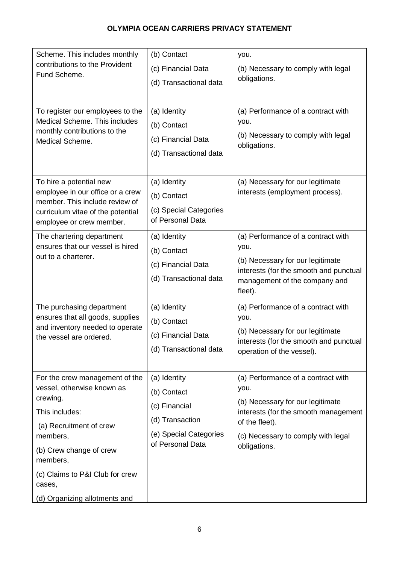| Scheme. This includes monthly<br>contributions to the Provident<br>Fund Scheme.<br>To register our employees to the                                                                                                                                    | (b) Contact<br>(c) Financial Data<br>(d) Transactional data<br>(a) Identity                                                                                | you.<br>(b) Necessary to comply with legal<br>obligations.<br>(a) Performance of a contract with                                                                                                                                                                                                                              |
|--------------------------------------------------------------------------------------------------------------------------------------------------------------------------------------------------------------------------------------------------------|------------------------------------------------------------------------------------------------------------------------------------------------------------|-------------------------------------------------------------------------------------------------------------------------------------------------------------------------------------------------------------------------------------------------------------------------------------------------------------------------------|
| Medical Scheme. This includes<br>monthly contributions to the<br>Medical Scheme.                                                                                                                                                                       | (b) Contact<br>(c) Financial Data<br>(d) Transactional data                                                                                                | you.<br>(b) Necessary to comply with legal<br>obligations.                                                                                                                                                                                                                                                                    |
| To hire a potential new<br>employee in our office or a crew<br>member. This include review of<br>curriculum vitae of the potential<br>employee or crew member.                                                                                         | (a) Identity<br>(b) Contact<br>(c) Special Categories<br>of Personal Data                                                                                  | (a) Necessary for our legitimate<br>interests (employment process).                                                                                                                                                                                                                                                           |
| The chartering department<br>ensures that our vessel is hired<br>out to a charterer.<br>The purchasing department<br>ensures that all goods, supplies<br>and inventory needed to operate<br>the vessel are ordered.                                    | (a) Identity<br>(b) Contact<br>(c) Financial Data<br>(d) Transactional data<br>(a) Identity<br>(b) Contact<br>(c) Financial Data<br>(d) Transactional data | (a) Performance of a contract with<br>you.<br>(b) Necessary for our legitimate<br>interests (for the smooth and punctual<br>management of the company and<br>fleet).<br>(a) Performance of a contract with<br>you.<br>(b) Necessary for our legitimate<br>interests (for the smooth and punctual<br>operation of the vessel). |
| For the crew management of the<br>vessel, otherwise known as<br>crewing.<br>This includes:<br>(a) Recruitment of crew<br>members,<br>(b) Crew change of crew<br>members,<br>(c) Claims to P&I Club for crew<br>cases,<br>(d) Organizing allotments and | (a) Identity<br>(b) Contact<br>(c) Financial<br>(d) Transaction<br>(e) Special Categories<br>of Personal Data                                              | (a) Performance of a contract with<br>you.<br>(b) Necessary for our legitimate<br>interests (for the smooth management<br>of the fleet).<br>(c) Necessary to comply with legal<br>obligations.                                                                                                                                |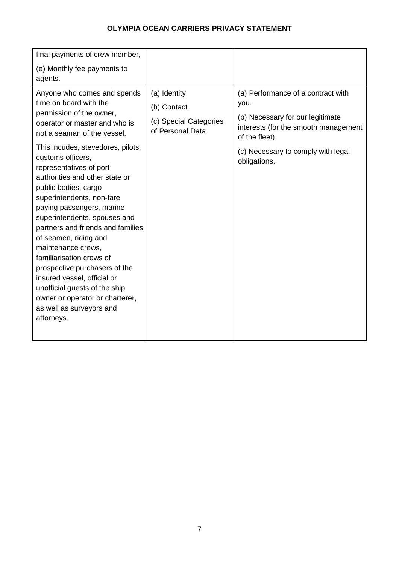| final payments of crew member,                                                                                                                                                                                                                                                                                                                                                                                                                                                                                                                                                                                                                                                           |                                                                           |                                                                                                                                                                                                |
|------------------------------------------------------------------------------------------------------------------------------------------------------------------------------------------------------------------------------------------------------------------------------------------------------------------------------------------------------------------------------------------------------------------------------------------------------------------------------------------------------------------------------------------------------------------------------------------------------------------------------------------------------------------------------------------|---------------------------------------------------------------------------|------------------------------------------------------------------------------------------------------------------------------------------------------------------------------------------------|
| (e) Monthly fee payments to<br>agents.                                                                                                                                                                                                                                                                                                                                                                                                                                                                                                                                                                                                                                                   |                                                                           |                                                                                                                                                                                                |
| Anyone who comes and spends<br>time on board with the<br>permission of the owner,<br>operator or master and who is<br>not a seaman of the vessel.<br>This incudes, stevedores, pilots,<br>customs officers,<br>representatives of port<br>authorities and other state or<br>public bodies, cargo<br>superintendents, non-fare<br>paying passengers, marine<br>superintendents, spouses and<br>partners and friends and families<br>of seamen, riding and<br>maintenance crews,<br>familiarisation crews of<br>prospective purchasers of the<br>insured vessel, official or<br>unofficial guests of the ship<br>owner or operator or charterer,<br>as well as surveyors and<br>attorneys. | (a) Identity<br>(b) Contact<br>(c) Special Categories<br>of Personal Data | (a) Performance of a contract with<br>you.<br>(b) Necessary for our legitimate<br>interests (for the smooth management<br>of the fleet).<br>(c) Necessary to comply with legal<br>obligations. |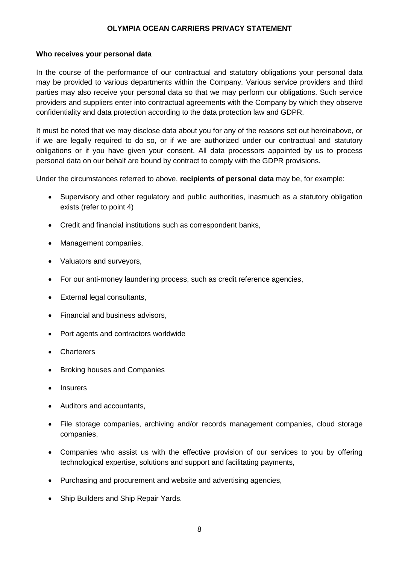#### **Who receives your personal data**

In the course of the performance of our contractual and statutory obligations your personal data may be provided to various departments within the Company. Various service providers and third parties may also receive your personal data so that we may perform our obligations. Such service providers and suppliers enter into contractual agreements with the Company by which they observe confidentiality and data protection according to the data protection law and GDPR.

It must be noted that we may disclose data about you for any of the reasons set out hereinabove, or if we are legally required to do so, or if we are authorized under our contractual and statutory obligations or if you have given your consent. All data processors appointed by us to process personal data on our behalf are bound by contract to comply with the GDPR provisions.

Under the circumstances referred to above, **recipients of personal data** may be, for example:

- Supervisory and other regulatory and public authorities, inasmuch as a statutory obligation exists (refer to point 4)
- Credit and financial institutions such as correspondent banks,
- Management companies,
- Valuators and surveyors,
- For our anti-money laundering process, such as credit reference agencies,
- External legal consultants.
- Financial and business advisors,
- Port agents and contractors worldwide
- Charterers
- Broking houses and Companies
- **Insurers**
- Auditors and accountants,
- File storage companies, archiving and/or records management companies, cloud storage companies,
- Companies who assist us with the effective provision of our services to you by offering technological expertise, solutions and support and facilitating payments,
- Purchasing and procurement and website and advertising agencies,
- Ship Builders and Ship Repair Yards.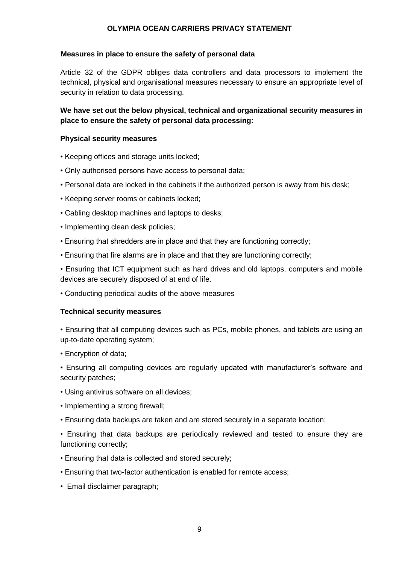#### **Measures in place to ensure the safety of personal data**

Article 32 of the GDPR obliges data controllers and data processors to implement the technical, physical and organisational measures necessary to ensure an appropriate level of security in relation to data processing.

## **We have set out the below physical, technical and organizational security measures in place to ensure the safety of personal data processing:**

#### **Physical security measures**

- Keeping offices and storage units locked;
- Only authorised persons have access to personal data;
- Personal data are locked in the cabinets if the authorized person is away from his desk;
- Keeping server rooms or cabinets locked;
- Cabling desktop machines and laptops to desks;
- Implementing clean desk policies;
- Ensuring that shredders are in place and that they are functioning correctly;
- Ensuring that fire alarms are in place and that they are functioning correctly;
- Ensuring that ICT equipment such as hard drives and old laptops, computers and mobile devices are securely disposed of at end of life.
- Conducting periodical audits of the above measures

#### **Technical security measures**

• Ensuring that all computing devices such as PCs, mobile phones, and tablets are using an up-to-date operating system;

- Encryption of data;
- Ensuring all computing devices are regularly updated with manufacturer's software and security patches:
- Using antivirus software on all devices;
- Implementing a strong firewall;
- Ensuring data backups are taken and are stored securely in a separate location;
- Ensuring that data backups are periodically reviewed and tested to ensure they are functioning correctly;
- Ensuring that data is collected and stored securely;
- Ensuring that two-factor authentication is enabled for remote access;
- Email disclaimer paragraph;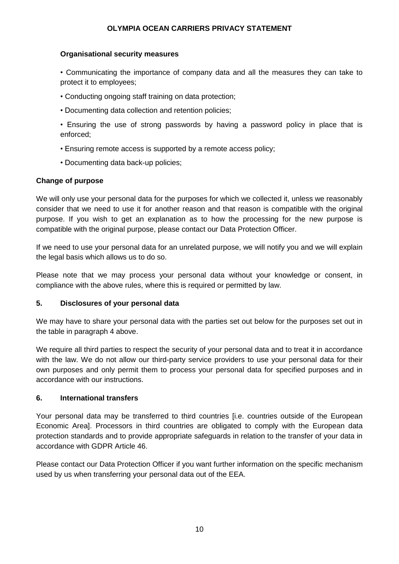## **Organisational security measures**

• Communicating the importance of company data and all the measures they can take to protect it to employees;

- Conducting ongoing staff training on data protection;
- Documenting data collection and retention policies;
- Ensuring the use of strong passwords by having a password policy in place that is enforced;
- Ensuring remote access is supported by a remote access policy;
- Documenting data back-up policies;

#### **Change of purpose**

We will only use your personal data for the purposes for which we collected it, unless we reasonably consider that we need to use it for another reason and that reason is compatible with the original purpose. If you wish to get an explanation as to how the processing for the new purpose is compatible with the original purpose, please contact our Data Protection Officer.

If we need to use your personal data for an unrelated purpose, we will notify you and we will explain the legal basis which allows us to do so.

Please note that we may process your personal data without your knowledge or consent, in compliance with the above rules, where this is required or permitted by law.

#### **5. Disclosures of your personal data**

We may have to share your personal data with the parties set out below for the purposes set out in the table in paragraph 4 above.

We require all third parties to respect the security of your personal data and to treat it in accordance with the law. We do not allow our third-party service providers to use your personal data for their own purposes and only permit them to process your personal data for specified purposes and in accordance with our instructions.

#### **6. International transfers**

Your personal data may be transferred to third countries [i.e. countries outside of the European Economic Area]. Processors in third countries are obligated to comply with the European data protection standards and to provide appropriate safeguards in relation to the transfer of your data in accordance with GDPR Article 46.

Please contact our Data Protection Officer if you want further information on the specific mechanism used by us when transferring your personal data out of the EEA.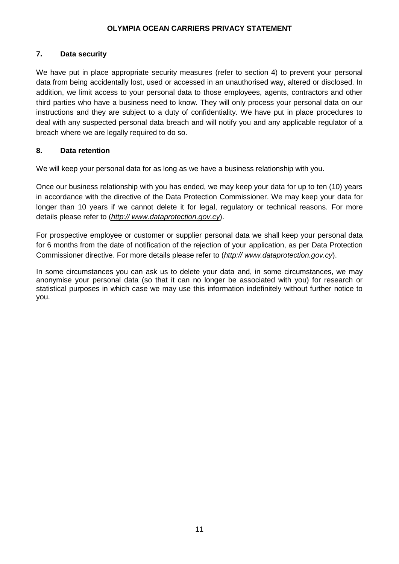## **7. Data security**

We have put in place appropriate security measures (refer to section 4) to prevent your personal data from being accidentally lost, used or accessed in an unauthorised way, altered or disclosed. In addition, we limit access to your personal data to those employees, agents, contractors and other third parties who have a business need to know. They will only process your personal data on our instructions and they are subject to a duty of confidentiality. We have put in place procedures to deal with any suspected personal data breach and will notify you and any applicable regulator of a breach where we are legally required to do so.

## **8. Data retention**

We will keep your personal data for as long as we have a business relationship with you.

Once our business relationship with you has ended, we may keep your data for up to ten (10) years in accordance with the directive of the Data Protection Commissioner. We may keep your data for longer than 10 years if we cannot delete it for legal, regulatory or technical reasons. For more details please refer to (*http:// www.dataprotection.gov.cy*).

For prospective employee or customer or supplier personal data we shall keep your personal data for 6 months from the date of notification of the rejection of your application, as per Data Protection Commissioner directive. For more details please refer to (*http:// www.dataprotection.gov.cy*).

In some circumstances you can ask us to delete your data and, in some circumstances, we may anonymise your personal data (so that it can no longer be associated with you) for research or statistical purposes in which case we may use this information indefinitely without further notice to you.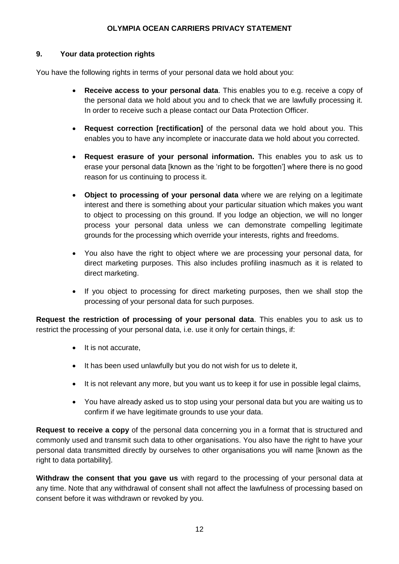## **9. Your data protection rights**

You have the following rights in terms of your personal data we hold about you:

- **Receive access to your personal data**. This enables you to e.g. receive a copy of the personal data we hold about you and to check that we are lawfully processing it. In order to receive such a please contact our Data Protection Officer.
- **Request correction [rectification]** of the personal data we hold about you. This enables you to have any incomplete or inaccurate data we hold about you corrected.
- **Request erasure of your personal information.** This enables you to ask us to erase your personal data [known as the 'right to be forgotten'] where there is no good reason for us continuing to process it.
- **Object to processing of your personal data** where we are relying on a legitimate interest and there is something about your particular situation which makes you want to object to processing on this ground. If you lodge an objection, we will no longer process your personal data unless we can demonstrate compelling legitimate grounds for the processing which override your interests, rights and freedoms.
- You also have the right to object where we are processing your personal data, for direct marketing purposes. This also includes profiling inasmuch as it is related to direct marketing.
- If you object to processing for direct marketing purposes, then we shall stop the processing of your personal data for such purposes.

**Request the restriction of processing of your personal data**. This enables you to ask us to restrict the processing of your personal data, i.e. use it only for certain things, if:

- It is not accurate,
- It has been used unlawfully but you do not wish for us to delete it,
- It is not relevant any more, but you want us to keep it for use in possible legal claims,
- You have already asked us to stop using your personal data but you are waiting us to confirm if we have legitimate grounds to use your data.

**Request to receive a copy** of the personal data concerning you in a format that is structured and commonly used and transmit such data to other organisations. You also have the right to have your personal data transmitted directly by ourselves to other organisations you will name [known as the right to data portability].

**Withdraw the consent that you gave us** with regard to the processing of your personal data at any time. Note that any withdrawal of consent shall not affect the lawfulness of processing based on consent before it was withdrawn or revoked by you.